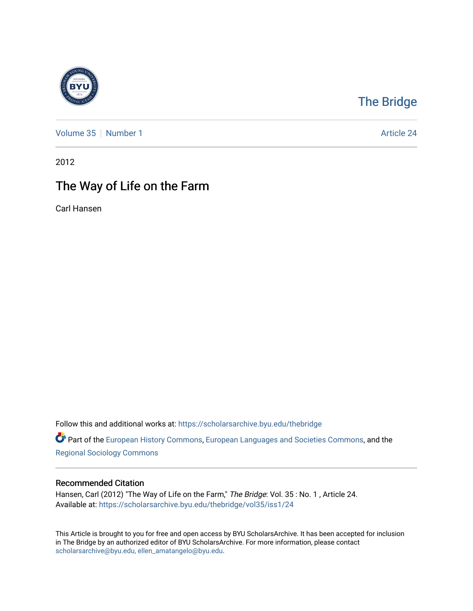

## [The Bridge](https://scholarsarchive.byu.edu/thebridge)

[Volume 35](https://scholarsarchive.byu.edu/thebridge/vol35) [Number 1](https://scholarsarchive.byu.edu/thebridge/vol35/iss1) Article 24

2012

## The Way of Life on the Farm

Carl Hansen

Follow this and additional works at: [https://scholarsarchive.byu.edu/thebridge](https://scholarsarchive.byu.edu/thebridge?utm_source=scholarsarchive.byu.edu%2Fthebridge%2Fvol35%2Fiss1%2F24&utm_medium=PDF&utm_campaign=PDFCoverPages) 

**Part of the [European History Commons](http://network.bepress.com/hgg/discipline/492?utm_source=scholarsarchive.byu.edu%2Fthebridge%2Fvol35%2Fiss1%2F24&utm_medium=PDF&utm_campaign=PDFCoverPages), [European Languages and Societies Commons,](http://network.bepress.com/hgg/discipline/482?utm_source=scholarsarchive.byu.edu%2Fthebridge%2Fvol35%2Fiss1%2F24&utm_medium=PDF&utm_campaign=PDFCoverPages) and the** [Regional Sociology Commons](http://network.bepress.com/hgg/discipline/427?utm_source=scholarsarchive.byu.edu%2Fthebridge%2Fvol35%2Fiss1%2F24&utm_medium=PDF&utm_campaign=PDFCoverPages) 

## Recommended Citation

Hansen, Carl (2012) "The Way of Life on the Farm," The Bridge: Vol. 35: No. 1, Article 24. Available at: [https://scholarsarchive.byu.edu/thebridge/vol35/iss1/24](https://scholarsarchive.byu.edu/thebridge/vol35/iss1/24?utm_source=scholarsarchive.byu.edu%2Fthebridge%2Fvol35%2Fiss1%2F24&utm_medium=PDF&utm_campaign=PDFCoverPages)

This Article is brought to you for free and open access by BYU ScholarsArchive. It has been accepted for inclusion in The Bridge by an authorized editor of BYU ScholarsArchive. For more information, please contact [scholarsarchive@byu.edu, ellen\\_amatangelo@byu.edu](mailto:scholarsarchive@byu.edu,%20ellen_amatangelo@byu.edu).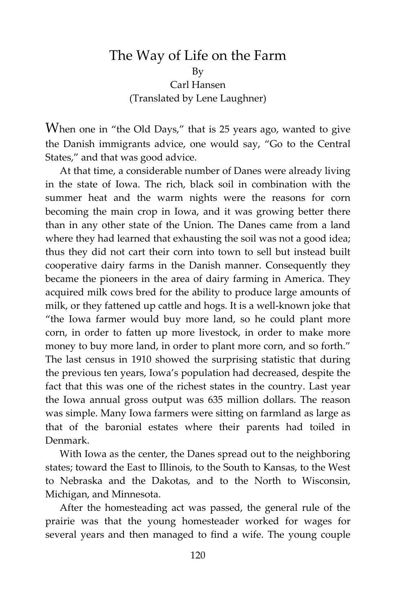## The Way of Life on the Farm By Carl Hansen (Translated by Lene Laughner)

When one in "the Old Days," that is 25 years ago, wanted to give the Danish immigrants advice, one would say, "Go to the Central States," and that was good advice.

At that time, a considerable number of Danes were already living in the state of Iowa. The rich, black soil in combination with the summer heat and the warm nights were the reasons for corn becoming the main crop in Iowa, and it was growing better there than in any other state of the Union. The Danes came from a land where they had learned that exhausting the soil was not a good idea; thus they did not cart their corn into town to sell but instead built cooperative dairy farms in the Danish manner. Consequently they became the pioneers in the area of dairy farming in America. They acquired milk cows bred for the ability to produce large amounts of milk, or they fattened up cattle and hogs. It is a well-known joke that "the Iowa farmer would buy more land, so he could plant more corn, in order to fatten up more livestock, in order to make more money to buy more land, in order to plant more corn, and so forth." The last census in 1910 showed the surprising statistic that during the previous ten years, Iowa's population had decreased, despite the fact that this was one of the richest states in the country. Last year the Iowa annual gross output was 635 million dollars. The reason was simple. Many Iowa farmers were sitting on farmland as large as that of the baronial estates where their parents had toiled in Denmark.

With Iowa as the center, the Danes spread out to the neighboring states; toward the East to Illinois, to the South to Kansas, to the West to Nebraska and the Dakotas, and to the North to Wisconsin, Michigan, and Minnesota.

After the homesteading act was passed, the general rule of the prairie was that the young homesteader worked for wages for several years and then managed to find a wife. The young couple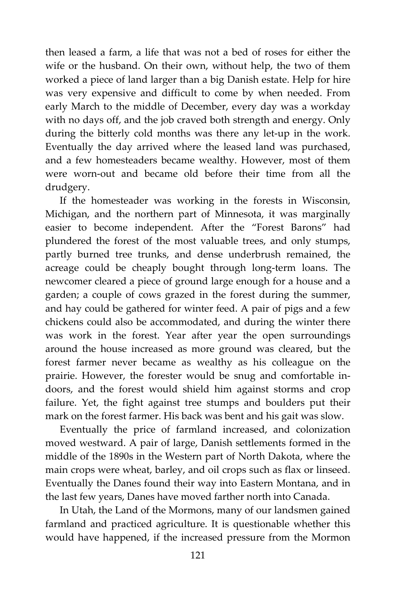then leased a farm, a life that was not a bed of roses for either the wife or the husband. On their own, without help, the two of them worked a piece of land larger than a big Danish estate. Help for hire was very expensive and difficult to come by when needed. From early March to the middle of December, every day was a workday with no days off, and the job craved both strength and energy. Only during the bitterly cold months was there any let-up in the work. Eventually the day arrived where the leased land was purchased, and a few homesteaders became wealthy. However, most of them were worn-out and became old before their time from all the drudgery.

If the homesteader was working in the forests in Wisconsin, Michigan, and the northern part of Minnesota, it was marginally easier to become independent. After the "Forest Barons" had plundered the forest of the most valuable trees, and only stumps, partly burned tree trunks, and dense underbrush remained, the acreage could be cheaply bought through long-term loans. The newcomer cleared a piece of ground large enough for a house and a garden; a couple of cows grazed in the forest during the summer, and hay could be gathered for winter feed. A pair of pigs and a few chickens could also be accommodated, and during the winter there was work in the forest. Year after year the open surroundings around the house increased as more ground was cleared, but the forest farmer never became as wealthy as his colleague on the prairie. However, the forester would be snug and comfortable indoors, and the forest would shield him against storms and crop failure. Yet, the fight against tree stumps and boulders put their mark on the forest farmer. His back was bent and his gait was slow.

Eventually the price of farmland increased, and colonization moved westward. A pair of large, Danish settlements formed in the middle of the 1890s in the Western part of North Dakota, where the main crops were wheat, barley, and oil crops such as flax or linseed. Eventually the Danes found their way into Eastern Montana, and in the last few years, Danes have moved farther north into Canada.

In Utah, the Land of the Mormons, many of our landsmen gained farmland and practiced agriculture. It is questionable whether this would have happened, if the increased pressure from the Mormon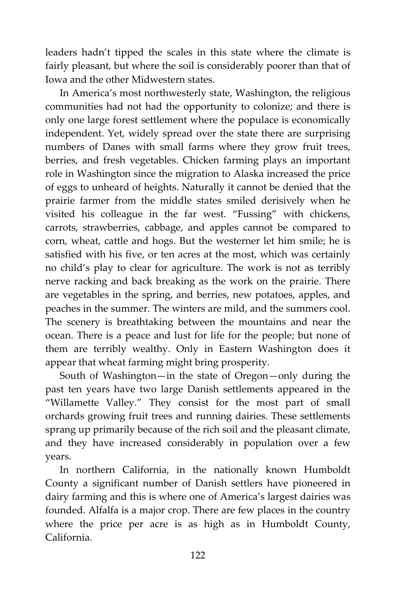leaders hadn't tipped the scales in this state where the climate is fairly pleasant, but where the soil is considerably poorer than that of Iowa and the other Midwestern states.

In America's most northwesterly state, Washington, the religious communities had not had the opportunity to colonize; and there is only one large forest settlement where the populace is economically independent. Yet, widely spread over the state there are surprising numbers of Danes with small farms where they grow fruit trees, berries, and fresh vegetables. Chicken farming plays an important role in Washington since the migration to Alaska increased the price of eggs to unheard of heights. Naturally it cannot be denied that the prairie farmer from the middle states smiled derisively when he visited his colleague in the far west. "Fussing" with chickens, carrots, strawberries, cabbage, and apples cannot be compared to corn, wheat, cattle and hogs. But the westerner let him smile; he is satisfied with his five, or ten acres at the most, which was certainly no child's play to clear for agriculture. The work is not as terribly nerve racking and back breaking as the work on the prairie. There are vegetables in the spring, and berries, new potatoes, apples, and peaches in the summer. The winters are mild, and the summers cool. The scenery is breathtaking between the mountains and near the ocean. There is a peace and lust for life for the people; but none of them are terribly wealthy. Only in Eastern Washington does it appear that wheat farming might bring prosperity.

South of Washington—in the state of Oregon—only during the past ten years have two large Danish settlements appeared in the "Willamette Valley." They consist for the most part of small orchards growing fruit trees and running dairies. These settlements sprang up primarily because of the rich soil and the pleasant climate, and they have increased considerably in population over a few years.

In northern California, in the nationally known Humboldt County a significant number of Danish settlers have pioneered in dairy farming and this is where one of America's largest dairies was founded. Alfalfa is a major crop. There are few places in the country where the price per acre is as high as in Humboldt County, California.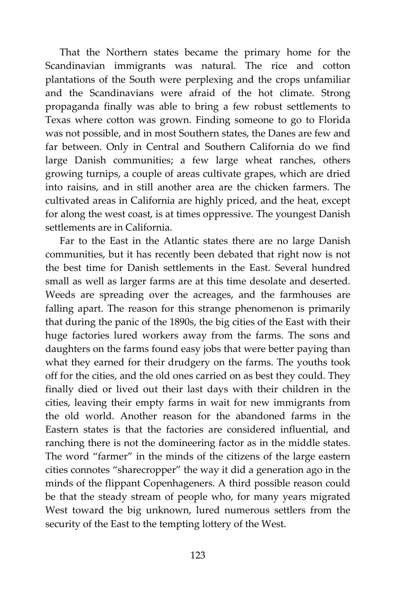That the Northern states became the primary home for the Scandinavian immigrants was natural. The rice and cotton plantations of the South were perplexing and the crops unfamiliar and the Scandinavians were afraid of the hot climate. Strong propaganda finally was able to bring a few robust settlements to Texas where cotton was grown. Finding someone to go to Florida was not possible, and in most Southern states, the Danes are few and far between. Only in Central and Southern California do we find large Danish communities; a few large wheat ranches, others growing turnips, a couple of areas cultivate grapes, which are dried into raisins, and in still another area are the chicken farmers. The cultivated areas in California are highly priced, and the heat, except for along the west coast, is at times oppressive. The youngest Danish settlements are in California.

Far to the East in the Atlantic states there are no large Danish communities, but it has recently been debated that right now is not the best time for Danish settlements in the East. Several hundred small as well as larger farms are at this time desolate and deserted. Weeds are spreading over the acreages, and the farmhouses are falling apart. The reason for this strange phenomenon is primarily that during the panic of the 1890s, the big cities of the East with their huge factories lured workers away from the farms. The sons and daughters on the farms found easy jobs that were better paying than what they earned for their drudgery on the farms. The youths took off for the cities, and the old ones carried on as best they could. They finally died or lived out their last days with their children in the cities, leaving their empty farms in wait for new immigrants from the old world. Another reason for the abandoned farms in the Eastern states is that the factories are considered influential, and ranching there is not the domineering factor as in the middle states. The word "farmer" in the minds of the citizens of the large eastern cities connotes "sharecropper" the way it did a generation ago in the minds of the flippant Copenhageners. A third possible reason could be that the steady stream of people who, for many years migrated West toward the big unknown, lured numerous settlers from the security of the East to the tempting lottery of the West.